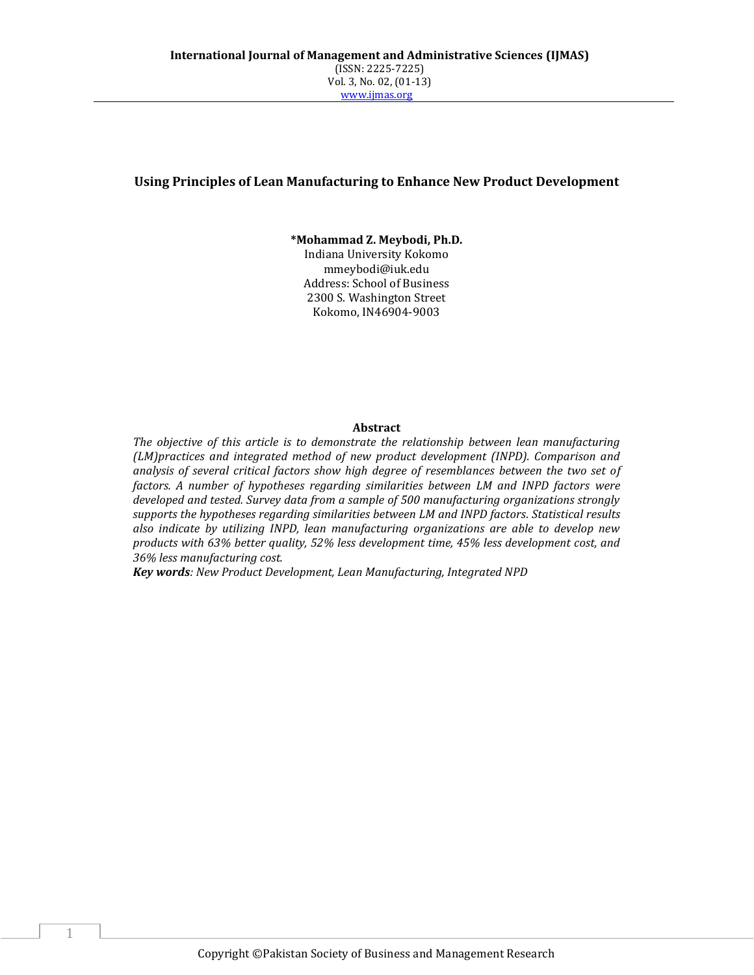# **Using Principles of Lean Manufacturing to Enhance New Product Development**

**\*Mohammad Z. Meybodi, Ph.D.**

Indiana University Kokomo mmeybodi@iuk.edu Address: School of Business 2300 S. Washington Street Kokomo, IN46904-9003

#### **Abstract**

*The objective of this article is to demonstrate the relationship between lean manufacturing (LM)practices and integrated method of new product development (INPD). Comparison and analysis of several critical factors show high degree of resemblances between the two set of factors. A number of hypotheses regarding similarities between LM and INPD factors were developed and tested. Survey data from a sample of 500 manufacturing organizations strongly supports the hypotheses regarding similarities between LM and INPD factors. Statistical results also indicate by utilizing INPD, lean manufacturing organizations are able to develop new products with 63% better quality, 52% less development time, 45% less development cost, and 36% less manufacturing cost.*

*Key words: New Product Development, Lean Manufacturing, Integrated NPD*

1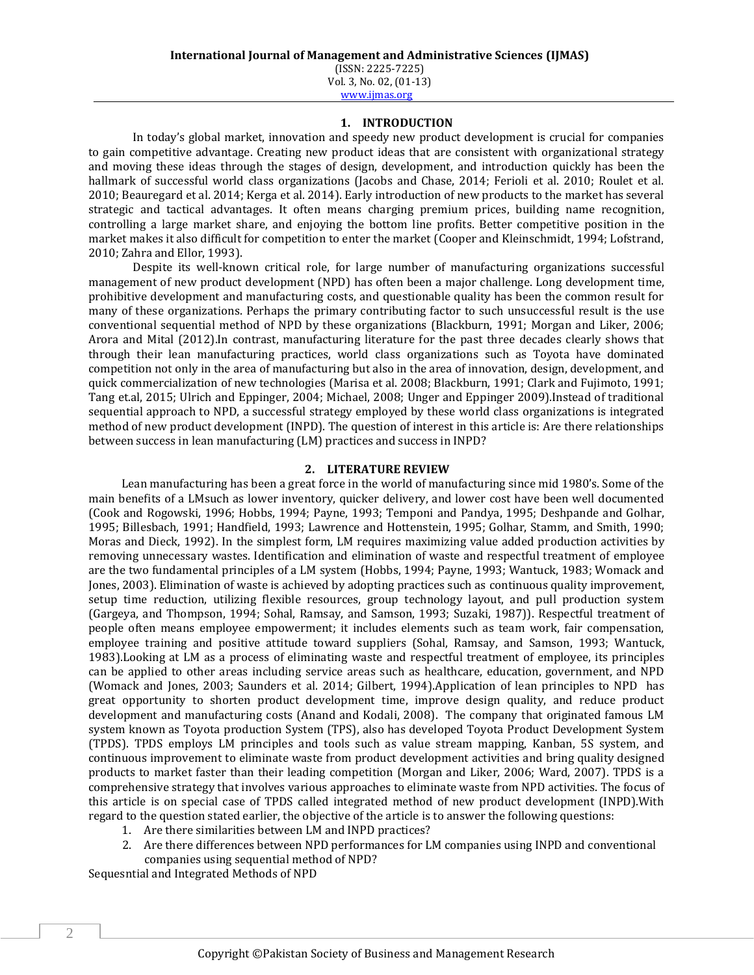#### **1. INTRODUCTION**

In today's global market, innovation and speedy new product development is crucial for companies to gain competitive advantage. Creating new product ideas that are consistent with organizational strategy and moving these ideas through the stages of design, development, and introduction quickly has been the hallmark of successful world class organizations (Jacobs and Chase, 2014; Ferioli et al. 2010; Roulet et al. 2010; Beauregard et al. 2014; Kerga et al. 2014). Early introduction of new products to the market has several strategic and tactical advantages. It often means charging premium prices, building name recognition, controlling a large market share, and enjoying the bottom line profits. Better competitive position in the market makes it also difficult for competition to enter the market (Cooper and Kleinschmidt, 1994; Lofstrand, 2010; Zahra and Ellor, 1993).

Despite its well-known critical role, for large number of manufacturing organizations successful management of new product development (NPD) has often been a major challenge. Long development time, prohibitive development and manufacturing costs, and questionable quality has been the common result for many of these organizations. Perhaps the primary contributing factor to such unsuccessful result is the use conventional sequential method of NPD by these organizations (Blackburn, 1991; Morgan and Liker, 2006; Arora and Mital (2012).In contrast, manufacturing literature for the past three decades clearly shows that through their lean manufacturing practices, world class organizations such as Toyota have dominated competition not only in the area of manufacturing but also in the area of innovation, design, development, and quick commercialization of new technologies (Marisa et al. 2008; Blackburn, 1991; Clark and Fujimoto, 1991; Tang et.al, 2015; Ulrich and Eppinger, 2004; Michael, 2008; Unger and Eppinger 2009).Instead of traditional sequential approach to NPD, a successful strategy employed by these world class organizations is integrated method of new product development (INPD). The question of interest in this article is: Are there relationships between success in lean manufacturing (LM) practices and success in INPD?

### **2. LITERATURE REVIEW**

Lean manufacturing has been a great force in the world of manufacturing since mid 1980's. Some of the main benefits of a LMsuch as lower inventory, quicker delivery, and lower cost have been well documented (Cook and Rogowski, 1996; Hobbs, 1994; Payne, 1993; Temponi and Pandya, 1995; Deshpande and Golhar, 1995; Billesbach, 1991; Handfield, 1993; Lawrence and Hottenstein, 1995; Golhar, Stamm, and Smith, 1990; Moras and Dieck, 1992). In the simplest form, LM requires maximizing value added production activities by removing unnecessary wastes. Identification and elimination of waste and respectful treatment of employee are the two fundamental principles of a LM system (Hobbs, 1994; Payne, 1993; Wantuck, 1983; Womack and Jones, 2003). Elimination of waste is achieved by adopting practices such as continuous quality improvement, setup time reduction, utilizing flexible resources, group technology layout, and pull production system (Gargeya, and Thompson, 1994; Sohal, Ramsay, and Samson, 1993; Suzaki, 1987)). Respectful treatment of people often means employee empowerment; it includes elements such as team work, fair compensation, employee training and positive attitude toward suppliers (Sohal, Ramsay, and Samson, 1993; Wantuck, 1983).Looking at LM as a process of eliminating waste and respectful treatment of employee, its principles can be applied to other areas including service areas such as healthcare, education, government, and NPD (Womack and Jones, 2003; Saunders et al. 2014; Gilbert, 1994).Application of lean principles to NPD has great opportunity to shorten product development time, improve design quality, and reduce product development and manufacturing costs (Anand and Kodali, 2008). The company that originated famous LM system known as Toyota production System (TPS), also has developed Toyota Product Development System (TPDS). TPDS employs LM principles and tools such as value stream mapping, Kanban, 5S system, and continuous improvement to eliminate waste from product development activities and bring quality designed products to market faster than their leading competition (Morgan and Liker, 2006; Ward, 2007). TPDS is a comprehensive strategy that involves various approaches to eliminate waste from NPD activities. The focus of this article is on special case of TPDS called integrated method of new product development (INPD).With regard to the question stated earlier, the objective of the article is to answer the following questions:

- 1. Are there similarities between LM and INPD practices?
- 2. Are there differences between NPD performances for LM companies using INPD and conventional companies using sequential method of NPD?

Sequesntial and Integrated Methods of NPD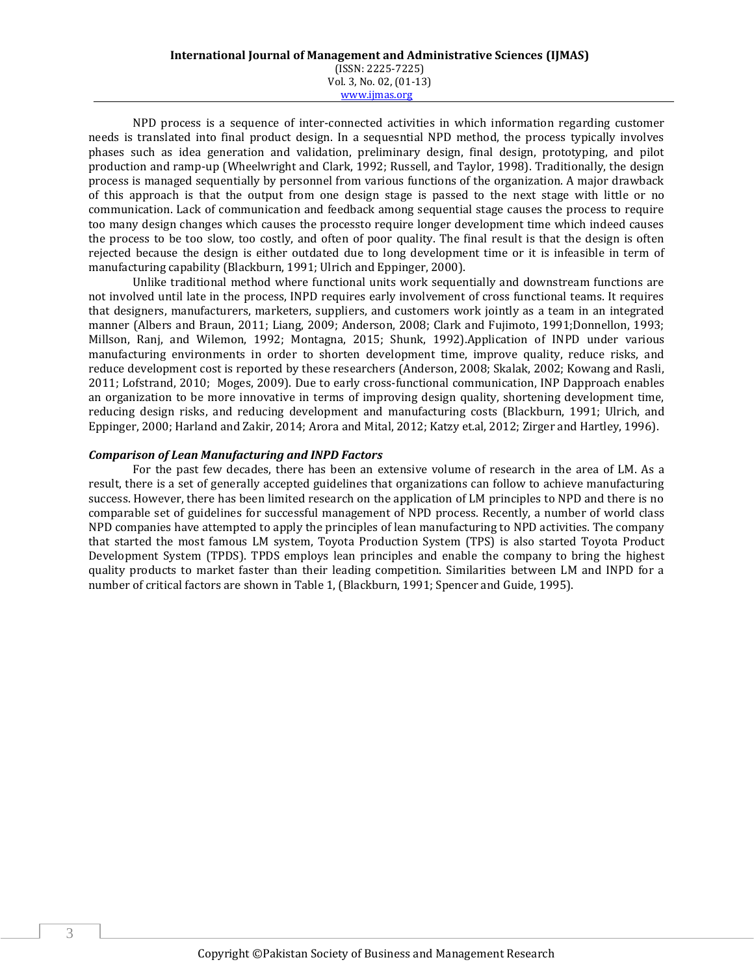#### **International Journal of Management and Administrative Sciences (IJMAS)** (ISSN: 2225-7225) Vol. 3, No. 02, (01-13) www.ijmas.org

NPD process is a sequence of inter-connected activities in which information regarding customer needs is translated into final product design. In a sequesntial NPD method, the process typically involves phases such as idea generation and validation, preliminary design, final design, prototyping, and pilot production and ramp-up (Wheelwright and Clark, 1992; Russell, and Taylor, 1998). Traditionally, the design process is managed sequentially by personnel from various functions of the organization. A major drawback of this approach is that the output from one design stage is passed to the next stage with little or no communication. Lack of communication and feedback among sequential stage causes the process to require too many design changes which causes the processto require longer development time which indeed causes the process to be too slow, too costly, and often of poor quality. The final result is that the design is often rejected because the design is either outdated due to long development time or it is infeasible in term of manufacturing capability (Blackburn, 1991; Ulrich and Eppinger, 2000).

Unlike traditional method where functional units work sequentially and downstream functions are not involved until late in the process, INPD requires early involvement of cross functional teams. It requires that designers, manufacturers, marketers, suppliers, and customers work jointly as a team in an integrated manner (Albers and Braun, 2011; Liang, 2009; Anderson, 2008; Clark and Fujimoto, 1991;Donnellon, 1993; Millson, Ranj, and Wilemon, 1992; Montagna, 2015; Shunk, 1992).Application of INPD under various manufacturing environments in order to shorten development time, improve quality, reduce risks, and reduce development cost is reported by these researchers (Anderson, 2008; Skalak, 2002; Kowang and Rasli, 2011; Lofstrand, 2010; Moges, 2009). Due to early cross-functional communication, INP Dapproach enables an organization to be more innovative in terms of improving design quality, shortening development time, reducing design risks, and reducing development and manufacturing costs (Blackburn, 1991; Ulrich, and Eppinger, 2000; Harland and Zakir, 2014; Arora and Mital, 2012; Katzy et.al, 2012; Zirger and Hartley, 1996).

#### *Comparison of Lean Manufacturing and INPD Factors*

For the past few decades, there has been an extensive volume of research in the area of LM. As a result, there is a set of generally accepted guidelines that organizations can follow to achieve manufacturing success. However, there has been limited research on the application of LM principles to NPD and there is no comparable set of guidelines for successful management of NPD process. Recently, a number of world class NPD companies have attempted to apply the principles of lean manufacturing to NPD activities. The company that started the most famous LM system, Toyota Production System (TPS) is also started Toyota Product Development System (TPDS). TPDS employs lean principles and enable the company to bring the highest quality products to market faster than their leading competition. Similarities between LM and INPD for a number of critical factors are shown in Table 1, (Blackburn, 1991; Spencer and Guide, 1995).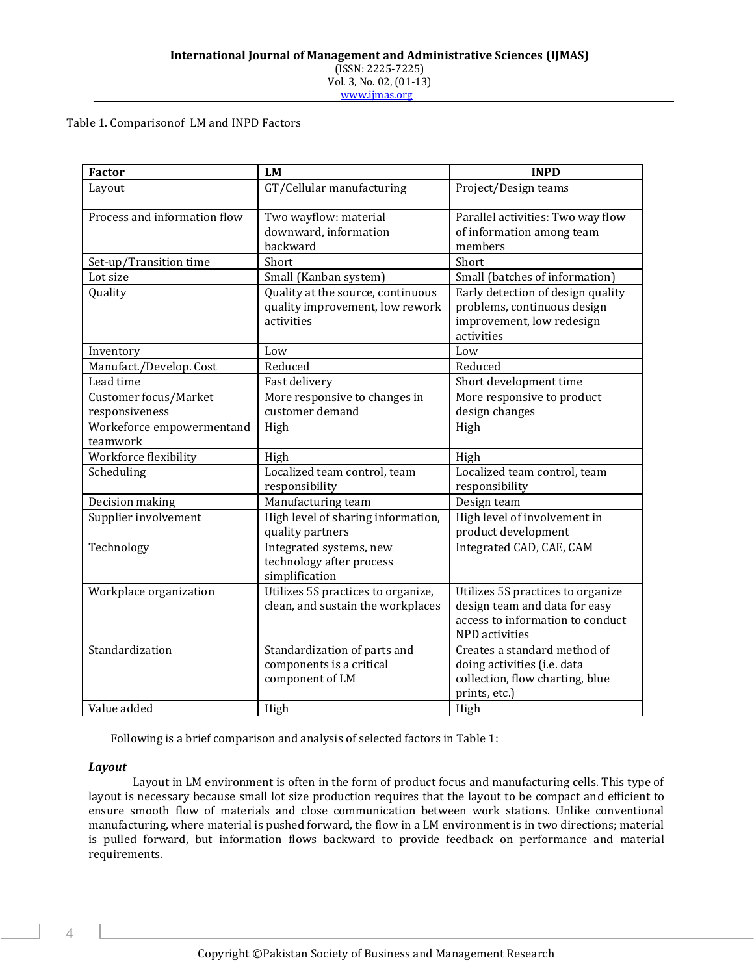Table 1. Comparisonof LM and INPD Factors

| <b>Factor</b>                           | <b>LM</b>                                                                          | <b>INPD</b>                                                                                                              |
|-----------------------------------------|------------------------------------------------------------------------------------|--------------------------------------------------------------------------------------------------------------------------|
| Layout                                  | GT/Cellular manufacturing                                                          | Project/Design teams                                                                                                     |
| Process and information flow            | Two wayflow: material<br>downward, information<br>backward                         | Parallel activities: Two way flow<br>of information among team<br>members                                                |
| Set-up/Transition time                  | Short                                                                              | Short                                                                                                                    |
| Lot size                                | Small (Kanban system)                                                              | Small (batches of information)                                                                                           |
| Quality                                 | Quality at the source, continuous<br>quality improvement, low rework<br>activities | Early detection of design quality<br>problems, continuous design<br>improvement, low redesign<br>activities              |
| Inventory                               | Low                                                                                | Low                                                                                                                      |
| Manufact./Develop. Cost                 | Reduced                                                                            | Reduced                                                                                                                  |
| Lead time                               | Fast delivery                                                                      | Short development time                                                                                                   |
| Customer focus/Market<br>responsiveness | More responsive to changes in<br>customer demand                                   | More responsive to product<br>design changes                                                                             |
| Workeforce empowermentand<br>teamwork   | High                                                                               | High                                                                                                                     |
| Workforce flexibility                   | High                                                                               | High                                                                                                                     |
| Scheduling                              | Localized team control, team<br>responsibility                                     | Localized team control, team<br>responsibility                                                                           |
| Decision making                         | Manufacturing team                                                                 | Design team                                                                                                              |
| Supplier involvement                    | High level of sharing information,<br>quality partners                             | High level of involvement in<br>product development                                                                      |
| Technology                              | Integrated systems, new<br>technology after process<br>simplification              | Integrated CAD, CAE, CAM                                                                                                 |
| Workplace organization                  | Utilizes 5S practices to organize,<br>clean, and sustain the workplaces            | Utilizes 5S practices to organize<br>design team and data for easy<br>access to information to conduct<br>NPD activities |
| Standardization                         | Standardization of parts and<br>components is a critical<br>component of LM        | Creates a standard method of<br>doing activities (i.e. data<br>collection, flow charting, blue<br>prints, etc.)          |
| Value added                             | High                                                                               | High                                                                                                                     |

Following is a brief comparison and analysis of selected factors in Table 1:

#### *Layout*

Layout in LM environment is often in the form of product focus and manufacturing cells. This type of layout is necessary because small lot size production requires that the layout to be compact and efficient to ensure smooth flow of materials and close communication between work stations. Unlike conventional manufacturing, where material is pushed forward, the flow in a LM environment is in two directions; material is pulled forward, but information flows backward to provide feedback on performance and material requirements.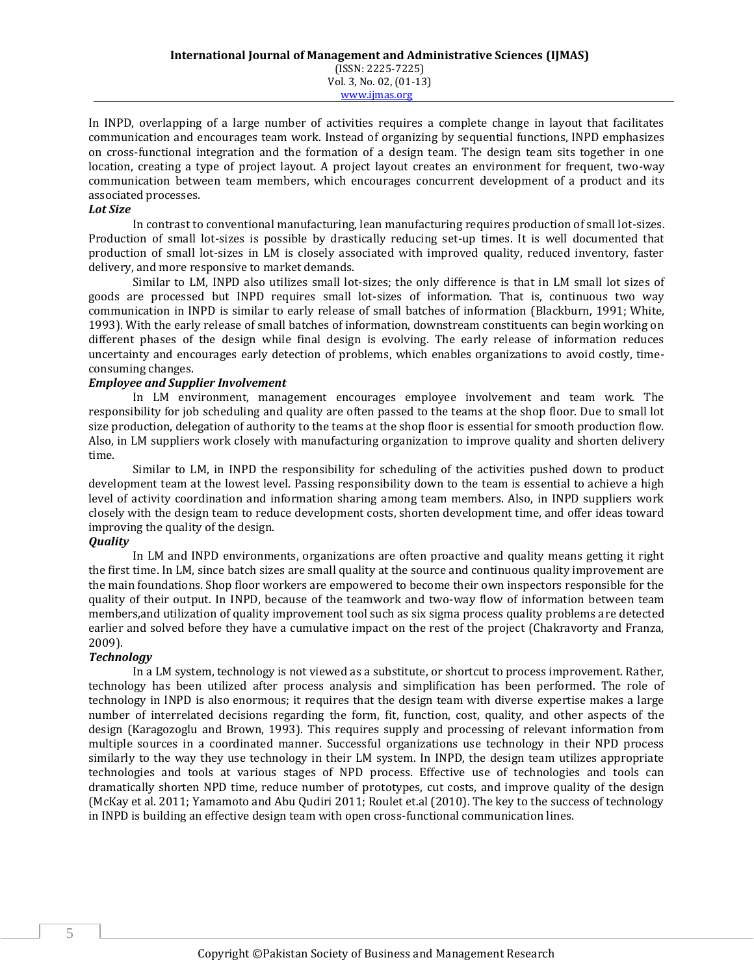In INPD, overlapping of a large number of activities requires a complete change in layout that facilitates communication and encourages team work. Instead of organizing by sequential functions, INPD emphasizes on cross-functional integration and the formation of a design team. The design team sits together in one location, creating a type of project layout. A project layout creates an environment for frequent, two-way communication between team members, which encourages concurrent development of a product and its associated processes.

### *Lot Size*

In contrast to conventional manufacturing, lean manufacturing requires production of small lot-sizes. Production of small lot-sizes is possible by drastically reducing set-up times. It is well documented that production of small lot-sizes in LM is closely associated with improved quality, reduced inventory, faster delivery, and more responsive to market demands.

Similar to LM, INPD also utilizes small lot-sizes; the only difference is that in LM small lot sizes of goods are processed but INPD requires small lot-sizes of information. That is, continuous two way communication in INPD is similar to early release of small batches of information (Blackburn, 1991; White, 1993). With the early release of small batches of information, downstream constituents can begin working on different phases of the design while final design is evolving. The early release of information reduces uncertainty and encourages early detection of problems, which enables organizations to avoid costly, timeconsuming changes.

## *Employee and Supplier Involvement*

In LM environment, management encourages employee involvement and team work. The responsibility for job scheduling and quality are often passed to the teams at the shop floor. Due to small lot size production, delegation of authority to the teams at the shop floor is essential for smooth production flow. Also, in LM suppliers work closely with manufacturing organization to improve quality and shorten delivery time.

Similar to LM, in INPD the responsibility for scheduling of the activities pushed down to product development team at the lowest level. Passing responsibility down to the team is essential to achieve a high level of activity coordination and information sharing among team members. Also, in INPD suppliers work closely with the design team to reduce development costs, shorten development time, and offer ideas toward improving the quality of the design.

## *Quality*

In LM and INPD environments, organizations are often proactive and quality means getting it right the first time. In LM, since batch sizes are small quality at the source and continuous quality improvement are the main foundations. Shop floor workers are empowered to become their own inspectors responsible for the quality of their output. In INPD, because of the teamwork and two-way flow of information between team members,and utilization of quality improvement tool such as six sigma process quality problems are detected earlier and solved before they have a cumulative impact on the rest of the project (Chakravorty and Franza, 2009).

## *Technology*

In a LM system, technology is not viewed as a substitute, or shortcut to process improvement. Rather, technology has been utilized after process analysis and simplification has been performed. The role of technology in INPD is also enormous; it requires that the design team with diverse expertise makes a large number of interrelated decisions regarding the form, fit, function, cost, quality, and other aspects of the design (Karagozoglu and Brown, 1993). This requires supply and processing of relevant information from multiple sources in a coordinated manner. Successful organizations use technology in their NPD process similarly to the way they use technology in their LM system. In INPD, the design team utilizes appropriate technologies and tools at various stages of NPD process. Effective use of technologies and tools can dramatically shorten NPD time, reduce number of prototypes, cut costs, and improve quality of the design (McKay et al. 2011; Yamamoto and Abu Qudiri 2011; Roulet et.al (2010). The key to the success of technology in INPD is building an effective design team with open cross-functional communication lines.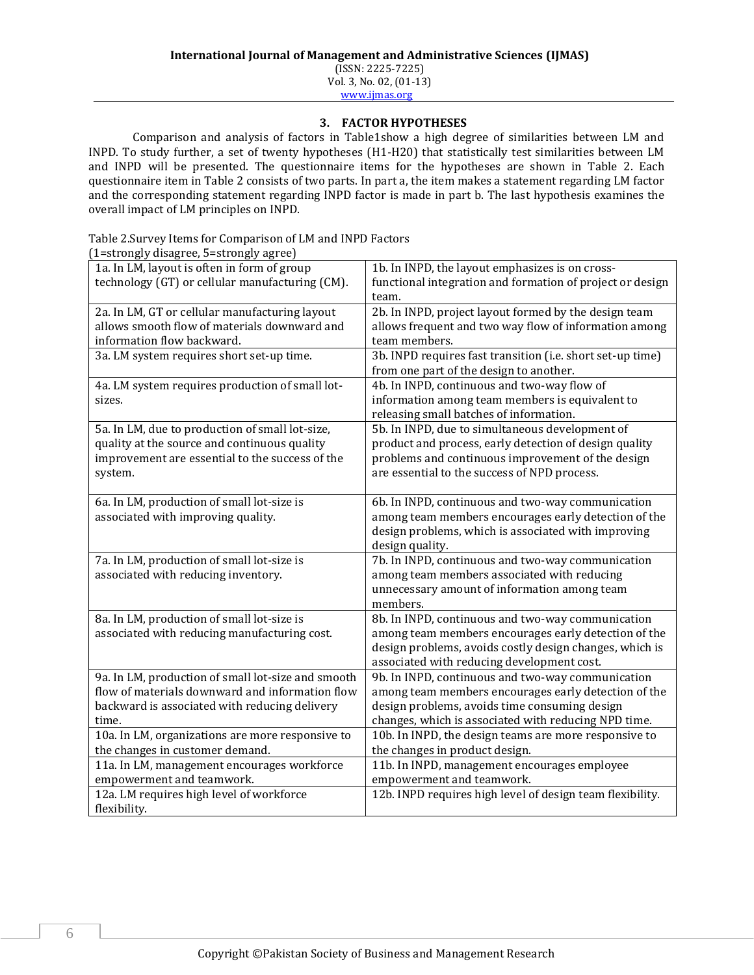## **3. FACTOR HYPOTHESES**

Comparison and analysis of factors in Table1show a high degree of similarities between LM and INPD. To study further, a set of twenty hypotheses (H1-H20) that statistically test similarities between LM and INPD will be presented. The questionnaire items for the hypotheses are shown in Table 2. Each questionnaire item in Table 2 consists of two parts. In part a, the item makes a statement regarding LM factor and the corresponding statement regarding INPD factor is made in part b. The last hypothesis examines the overall impact of LM principles on INPD.

Table 2.Survey Items for Comparison of LM and INPD Factors (1=strongly disagree, 5=strongly agree)

| 1–30 Ungiy ulsagi cc, 9–30 Ungiy agi cc)           |                                                            |
|----------------------------------------------------|------------------------------------------------------------|
| 1a. In LM, layout is often in form of group        | 1b. In INPD, the layout emphasizes is on cross-            |
| technology (GT) or cellular manufacturing (CM).    | functional integration and formation of project or design  |
|                                                    | team.                                                      |
| 2a. In LM, GT or cellular manufacturing layout     | 2b. In INPD, project layout formed by the design team      |
| allows smooth flow of materials downward and       | allows frequent and two way flow of information among      |
| information flow backward.                         | team members.                                              |
| 3a. LM system requires short set-up time.          | 3b. INPD requires fast transition (i.e. short set-up time) |
|                                                    | from one part of the design to another.                    |
| 4a. LM system requires production of small lot-    | 4b. In INPD, continuous and two-way flow of                |
| sizes.                                             | information among team members is equivalent to            |
|                                                    | releasing small batches of information.                    |
| 5a. In LM, due to production of small lot-size,    | 5b. In INPD, due to simultaneous development of            |
| quality at the source and continuous quality       | product and process, early detection of design quality     |
| improvement are essential to the success of the    | problems and continuous improvement of the design          |
| system.                                            | are essential to the success of NPD process.               |
|                                                    |                                                            |
| 6a. In LM, production of small lot-size is         | 6b. In INPD, continuous and two-way communication          |
| associated with improving quality.                 | among team members encourages early detection of the       |
|                                                    | design problems, which is associated with improving        |
|                                                    | design quality.                                            |
| 7a. In LM, production of small lot-size is         | 7b. In INPD, continuous and two-way communication          |
| associated with reducing inventory.                | among team members associated with reducing                |
|                                                    | unnecessary amount of information among team               |
|                                                    | members.                                                   |
| 8a. In LM, production of small lot-size is         | 8b. In INPD, continuous and two-way communication          |
| associated with reducing manufacturing cost.       | among team members encourages early detection of the       |
|                                                    | design problems, avoids costly design changes, which is    |
|                                                    | associated with reducing development cost.                 |
| 9a. In LM, production of small lot-size and smooth | 9b. In INPD, continuous and two-way communication          |
| flow of materials downward and information flow    | among team members encourages early detection of the       |
| backward is associated with reducing delivery      | design problems, avoids time consuming design              |
| time.                                              | changes, which is associated with reducing NPD time.       |
| 10a. In LM, organizations are more responsive to   | 10b. In INPD, the design teams are more responsive to      |
| the changes in customer demand.                    | the changes in product design.                             |
| 11a. In LM, management encourages workforce        | 11b. In INPD, management encourages employee               |
| empowerment and teamwork.                          | empowerment and teamwork.                                  |
| 12a. LM requires high level of workforce           | 12b. INPD requires high level of design team flexibility.  |
| flexibility.                                       |                                                            |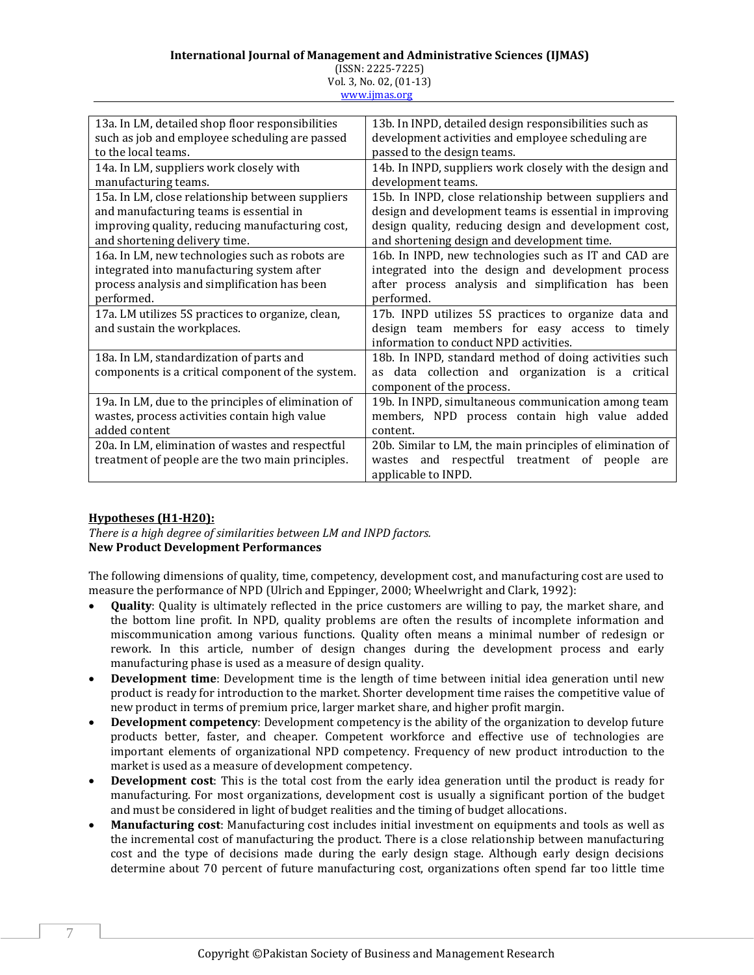## **International Journal of Management and Administrative Sciences (IJMAS)**

| $(ISSN: 2225-7225)$     |  |
|-------------------------|--|
| Vol. 3, No. 02, (01-13) |  |

www.ijmas.org

| 13a. In LM, detailed shop floor responsibilities    | 13b. In INPD, detailed design responsibilities such as    |
|-----------------------------------------------------|-----------------------------------------------------------|
| such as job and employee scheduling are passed      | development activities and employee scheduling are        |
| to the local teams.                                 | passed to the design teams.                               |
| 14a. In LM, suppliers work closely with             | 14b. In INPD, suppliers work closely with the design and  |
| manufacturing teams.                                | development teams.                                        |
| 15a. In LM, close relationship between suppliers    | 15b. In INPD, close relationship between suppliers and    |
| and manufacturing teams is essential in             | design and development teams is essential in improving    |
| improving quality, reducing manufacturing cost,     | design quality, reducing design and development cost,     |
| and shortening delivery time.                       | and shortening design and development time.               |
| 16a. In LM, new technologies such as robots are     | 16b. In INPD, new technologies such as IT and CAD are     |
| integrated into manufacturing system after          | integrated into the design and development process        |
| process analysis and simplification has been        | after process analysis and simplification has been        |
| performed.                                          | performed.                                                |
| 17a. LM utilizes 5S practices to organize, clean,   | 17b. INPD utilizes 5S practices to organize data and      |
| and sustain the workplaces.                         | design team members for easy access to timely             |
|                                                     | information to conduct NPD activities.                    |
| 18a. In LM, standardization of parts and            | 18b. In INPD, standard method of doing activities such    |
| components is a critical component of the system.   | data collection and organization is a critical<br>as      |
|                                                     | component of the process.                                 |
| 19a. In LM, due to the principles of elimination of | 19b. In INPD, simultaneous communication among team       |
| wastes, process activities contain high value       | members, NPD process contain high value added             |
| added content                                       | content.                                                  |
| 20a. In LM, elimination of wastes and respectful    | 20b. Similar to LM, the main principles of elimination of |
| treatment of people are the two main principles.    | wastes and respectful treatment of people<br>are          |
|                                                     | applicable to INPD.                                       |

## **Hypotheses (H1-H20):**

*There is a high degree of similarities between LM and INPD factors.* **New Product Development Performances**

The following dimensions of quality, time, competency, development cost, and manufacturing cost are used to measure the performance of NPD (Ulrich and Eppinger, 2000; Wheelwright and Clark, 1992):

- **Quality**: Quality is ultimately reflected in the price customers are willing to pay, the market share, and the bottom line profit. In NPD, quality problems are often the results of incomplete information and miscommunication among various functions. Quality often means a minimal number of redesign or rework. In this article, number of design changes during the development process and early manufacturing phase is used as a measure of design quality.
- **Development time**: Development time is the length of time between initial idea generation until new product is ready for introduction to the market. Shorter development time raises the competitive value of new product in terms of premium price, larger market share, and higher profit margin.
- **Development competency**: Development competency is the ability of the organization to develop future products better, faster, and cheaper. Competent workforce and effective use of technologies are important elements of organizational NPD competency. Frequency of new product introduction to the market is used as a measure of development competency.
- **Development cost**: This is the total cost from the early idea generation until the product is ready for manufacturing. For most organizations, development cost is usually a significant portion of the budget and must be considered in light of budget realities and the timing of budget allocations.
- **Manufacturing cost**: Manufacturing cost includes initial investment on equipments and tools as well as the incremental cost of manufacturing the product. There is a close relationship between manufacturing cost and the type of decisions made during the early design stage. Although early design decisions determine about 70 percent of future manufacturing cost, organizations often spend far too little time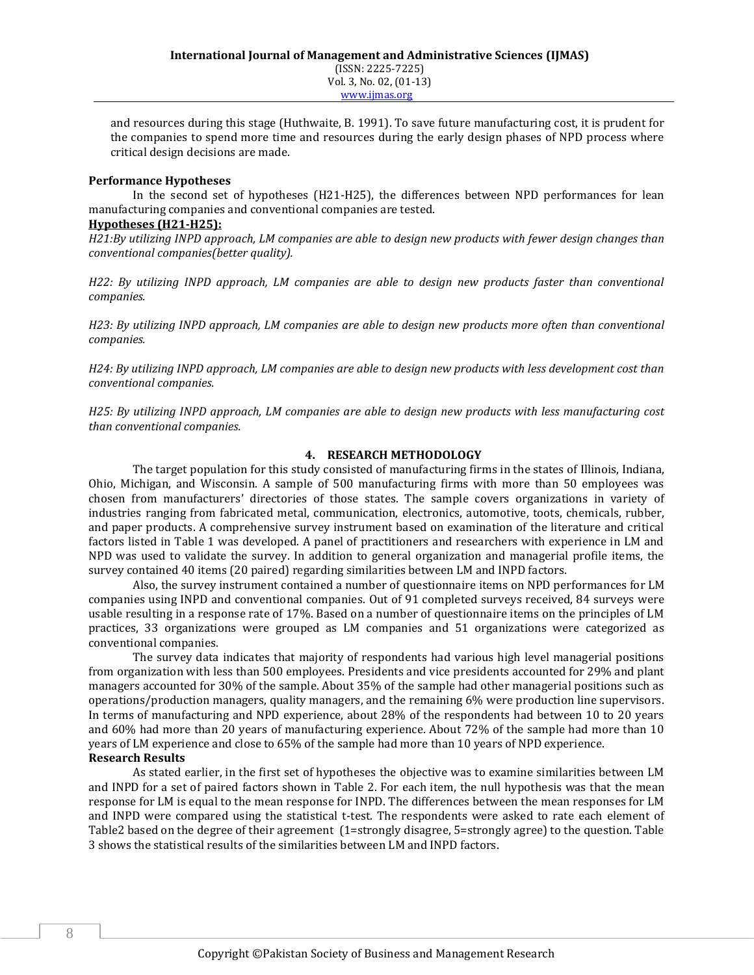and resources during this stage (Huthwaite, B. 1991). To save future manufacturing cost, it is prudent for the companies to spend more time and resources during the early design phases of NPD process where critical design decisions are made.

#### **Performance Hypotheses**

In the second set of hypotheses (H21-H25), the differences between NPD performances for lean manufacturing companies and conventional companies are tested.

### **Hypotheses (H21-H25):**

*H21:By utilizing INPD approach, LM companies are able to design new products with fewer design changes than conventional companies(better quality).*

*H22: By utilizing INPD approach, LM companies are able to design new products faster than conventional companies.*

*H23: By utilizing INPD approach, LM companies are able to design new products more often than conventional companies.*

*H24: By utilizing INPD approach, LM companies are able to design new products with less development cost than conventional companies.*

*H25: By utilizing INPD approach, LM companies are able to design new products with less manufacturing cost than conventional companies.*

#### **4. RESEARCH METHODOLOGY**

The target population for this study consisted of manufacturing firms in the states of Illinois, Indiana, Ohio, Michigan, and Wisconsin. A sample of 500 manufacturing firms with more than 50 employees was chosen from manufacturers' directories of those states. The sample covers organizations in variety of industries ranging from fabricated metal, communication, electronics, automotive, toots, chemicals, rubber, and paper products. A comprehensive survey instrument based on examination of the literature and critical factors listed in Table 1 was developed. A panel of practitioners and researchers with experience in LM and NPD was used to validate the survey. In addition to general organization and managerial profile items, the survey contained 40 items (20 paired) regarding similarities between LM and INPD factors.

Also, the survey instrument contained a number of questionnaire items on NPD performances for LM companies using INPD and conventional companies. Out of 91 completed surveys received, 84 surveys were usable resulting in a response rate of 17%. Based on a number of questionnaire items on the principles of LM practices, 33 organizations were grouped as LM companies and 51 organizations were categorized as conventional companies.

The survey data indicates that majority of respondents had various high level managerial positions from organization with less than 500 employees. Presidents and vice presidents accounted for 29% and plant managers accounted for 30% of the sample. About 35% of the sample had other managerial positions such as operations/production managers, quality managers, and the remaining 6% were production line supervisors. In terms of manufacturing and NPD experience, about 28% of the respondents had between 10 to 20 years and 60% had more than 20 years of manufacturing experience. About 72% of the sample had more than 10 years of LM experience and close to 65% of the sample had more than 10 years of NPD experience.

## **Research Results**

As stated earlier, in the first set of hypotheses the objective was to examine similarities between LM and INPD for a set of paired factors shown in Table 2. For each item, the null hypothesis was that the mean response for LM is equal to the mean response for INPD. The differences between the mean responses for LM and INPD were compared using the statistical t-test. The respondents were asked to rate each element of Table2 based on the degree of their agreement (1=strongly disagree, 5=strongly agree) to the question. Table 3 shows the statistical results of the similarities between LM and INPD factors.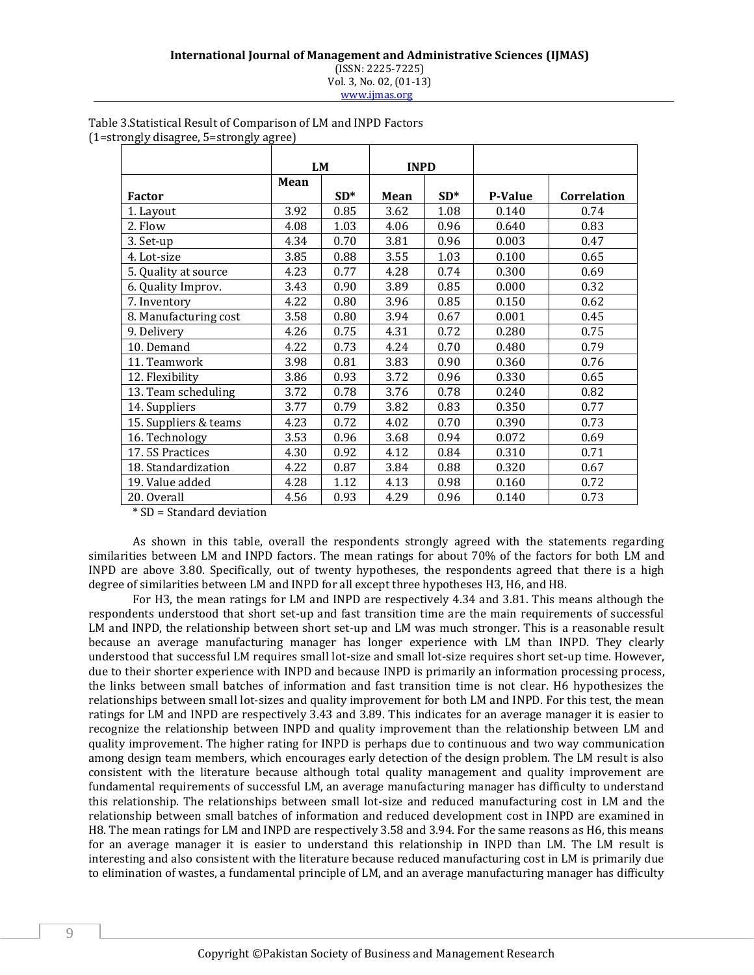#### **International Journal of Management and Administrative Sciences (IJMAS)** (ISSN: 2225-7225) Vol. 3, No. 02, (01-13) www.ijmas.org

|                       |      | <b>LM</b> | <b>INPD</b> |       |                |             |
|-----------------------|------|-----------|-------------|-------|----------------|-------------|
|                       | Mean |           |             |       |                |             |
| <b>Factor</b>         |      | $SD*$     | Mean        | $SD*$ | <b>P-Value</b> | Correlation |
| 1. Layout             | 3.92 | 0.85      | 3.62        | 1.08  | 0.140          | 0.74        |
| 2. Flow               | 4.08 | 1.03      | 4.06        | 0.96  | 0.640          | 0.83        |
| 3. Set-up             | 4.34 | 0.70      | 3.81        | 0.96  | 0.003          | 0.47        |
| 4. Lot-size           | 3.85 | 0.88      | 3.55        | 1.03  | 0.100          | 0.65        |
| 5. Quality at source  | 4.23 | 0.77      | 4.28        | 0.74  | 0.300          | 0.69        |
| 6. Quality Improv.    | 3.43 | 0.90      | 3.89        | 0.85  | 0.000          | 0.32        |
| 7. Inventory          | 4.22 | 0.80      | 3.96        | 0.85  | 0.150          | 0.62        |
| 8. Manufacturing cost | 3.58 | 0.80      | 3.94        | 0.67  | 0.001          | 0.45        |
| 9. Delivery           | 4.26 | 0.75      | 4.31        | 0.72  | 0.280          | 0.75        |
| 10. Demand            | 4.22 | 0.73      | 4.24        | 0.70  | 0.480          | 0.79        |
| 11. Teamwork          | 3.98 | 0.81      | 3.83        | 0.90  | 0.360          | 0.76        |
| 12. Flexibility       | 3.86 | 0.93      | 3.72        | 0.96  | 0.330          | 0.65        |
| 13. Team scheduling   | 3.72 | 0.78      | 3.76        | 0.78  | 0.240          | 0.82        |
| 14. Suppliers         | 3.77 | 0.79      | 3.82        | 0.83  | 0.350          | 0.77        |
| 15. Suppliers & teams | 4.23 | 0.72      | 4.02        | 0.70  | 0.390          | 0.73        |
| 16. Technology        | 3.53 | 0.96      | 3.68        | 0.94  | 0.072          | 0.69        |
| 17.5S Practices       | 4.30 | 0.92      | 4.12        | 0.84  | 0.310          | 0.71        |
| 18. Standardization   | 4.22 | 0.87      | 3.84        | 0.88  | 0.320          | 0.67        |
| 19. Value added       | 4.28 | 1.12      | 4.13        | 0.98  | 0.160          | 0.72        |
| 20. Overall           | 4.56 | 0.93      | 4.29        | 0.96  | 0.140          | 0.73        |

#### Table 3.Statistical Result of Comparison of LM and INPD Factors (1=strongly disagree, 5=strongly agree)

\* SD = Standard deviation

As shown in this table, overall the respondents strongly agreed with the statements regarding similarities between LM and INPD factors. The mean ratings for about 70% of the factors for both LM and INPD are above 3.80. Specifically, out of twenty hypotheses, the respondents agreed that there is a high degree of similarities between LM and INPD for all except three hypotheses H3, H6, and H8.

For H3, the mean ratings for LM and INPD are respectively 4.34 and 3.81. This means although the respondents understood that short set-up and fast transition time are the main requirements of successful LM and INPD, the relationship between short set-up and LM was much stronger. This is a reasonable result because an average manufacturing manager has longer experience with LM than INPD. They clearly understood that successful LM requires small lot-size and small lot-size requires short set-up time. However, due to their shorter experience with INPD and because INPD is primarily an information processing process, the links between small batches of information and fast transition time is not clear. H6 hypothesizes the relationships between small lot-sizes and quality improvement for both LM and INPD. For this test, the mean ratings for LM and INPD are respectively 3.43 and 3.89. This indicates for an average manager it is easier to recognize the relationship between INPD and quality improvement than the relationship between LM and quality improvement. The higher rating for INPD is perhaps due to continuous and two way communication among design team members, which encourages early detection of the design problem. The LM result is also consistent with the literature because although total quality management and quality improvement are fundamental requirements of successful LM, an average manufacturing manager has difficulty to understand this relationship. The relationships between small lot-size and reduced manufacturing cost in LM and the relationship between small batches of information and reduced development cost in INPD are examined in H8. The mean ratings for LM and INPD are respectively 3.58 and 3.94. For the same reasons as H6, this means for an average manager it is easier to understand this relationship in INPD than LM. The LM result is interesting and also consistent with the literature because reduced manufacturing cost in LM is primarily due to elimination of wastes, a fundamental principle of LM, and an average manufacturing manager has difficulty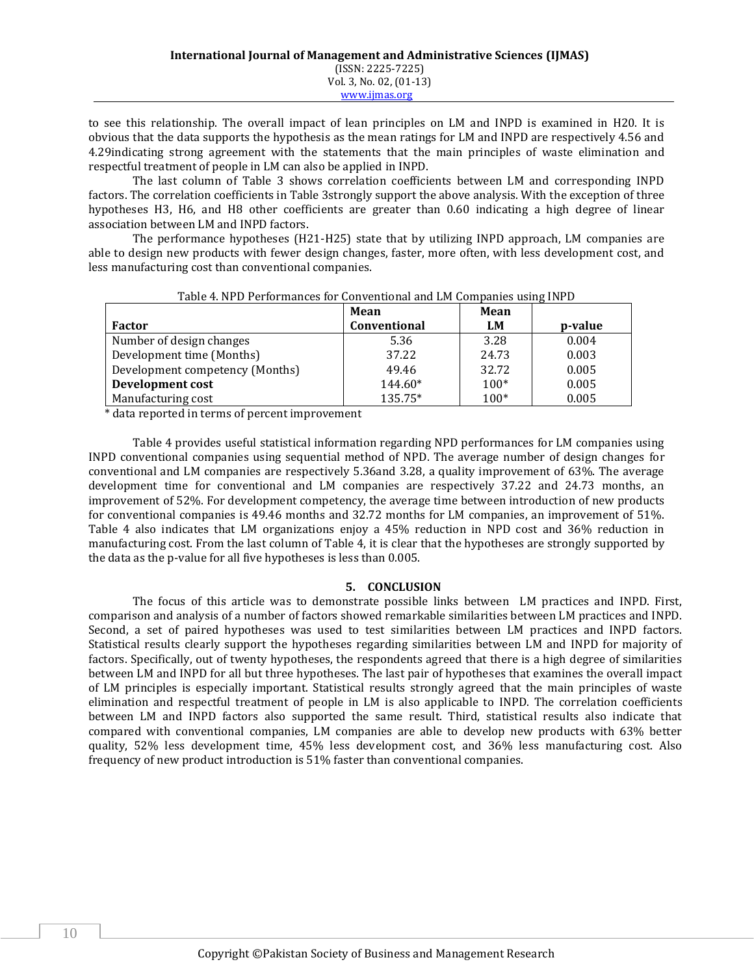to see this relationship. The overall impact of lean principles on LM and INPD is examined in H20. It is obvious that the data supports the hypothesis as the mean ratings for LM and INPD are respectively 4.56 and 4.29indicating strong agreement with the statements that the main principles of waste elimination and respectful treatment of people in LM can also be applied in INPD.

The last column of Table 3 shows correlation coefficients between LM and corresponding INPD factors. The correlation coefficients in Table 3strongly support the above analysis. With the exception of three hypotheses H3, H6, and H8 other coefficients are greater than 0.60 indicating a high degree of linear association between LM and INPD factors.

The performance hypotheses (H21-H25) state that by utilizing INPD approach, LM companies are able to design new products with fewer design changes, faster, more often, with less development cost, and less manufacturing cost than conventional companies.

|                                 | Mean         | Mean   |         |
|---------------------------------|--------------|--------|---------|
| Factor                          | Conventional | LM     | p-value |
| Number of design changes        | 5.36         | 3.28   | 0.004   |
| Development time (Months)       | 37.22        | 24.73  | 0.003   |
| Development competency (Months) | 49.46        | 32.72  | 0.005   |
| Development cost                | 144.60*      | $100*$ | 0.005   |
| Manufacturing cost              | 135.75*      | $100*$ | 0.005   |

|  | Table 4. NPD Performances for Conventional and LM Companies using INPD |  |  |  |  |
|--|------------------------------------------------------------------------|--|--|--|--|
|  |                                                                        |  |  |  |  |

\* data reported in terms of percent improvement

Table 4 provides useful statistical information regarding NPD performances for LM companies using INPD conventional companies using sequential method of NPD. The average number of design changes for conventional and LM companies are respectively 5.36and 3.28, a quality improvement of 63%. The average development time for conventional and LM companies are respectively 37.22 and 24.73 months, an improvement of 52%. For development competency, the average time between introduction of new products for conventional companies is 49.46 months and 32.72 months for LM companies, an improvement of 51%. Table 4 also indicates that LM organizations enjoy a 45% reduction in NPD cost and 36% reduction in manufacturing cost. From the last column of Table 4, it is clear that the hypotheses are strongly supported by the data as the p-value for all five hypotheses is less than 0.005.

## **5. CONCLUSION**

The focus of this article was to demonstrate possible links between LM practices and INPD. First, comparison and analysis of a number of factors showed remarkable similarities between LM practices and INPD. Second, a set of paired hypotheses was used to test similarities between LM practices and INPD factors. Statistical results clearly support the hypotheses regarding similarities between LM and INPD for majority of factors. Specifically, out of twenty hypotheses, the respondents agreed that there is a high degree of similarities between LM and INPD for all but three hypotheses. The last pair of hypotheses that examines the overall impact of LM principles is especially important. Statistical results strongly agreed that the main principles of waste elimination and respectful treatment of people in LM is also applicable to INPD. The correlation coefficients between LM and INPD factors also supported the same result. Third, statistical results also indicate that compared with conventional companies, LM companies are able to develop new products with 63% better quality, 52% less development time, 45% less development cost, and 36% less manufacturing cost. Also frequency of new product introduction is 51% faster than conventional companies.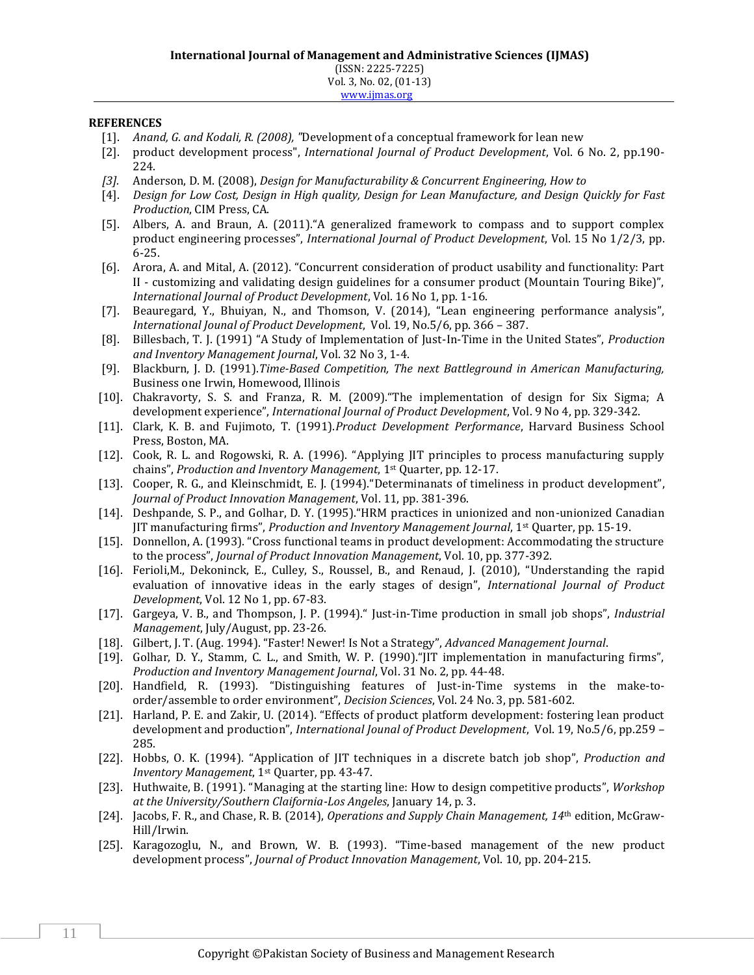### **REFERENCES**

- [1]. *Anand, G. and Kodali, R. (2008), "*Development of a conceptual framework for lean new
- [2]. product development process", *International Journal of Product Development*, Vol. 6 No. 2, pp.190- 224.
- *[3].* Anderson, D. M. (2008), *Design for Manufacturability & Concurrent Engineering, How to*
- [4]. *Design for Low Cost, Design in High quality, Design for Lean Manufacture, and Design Quickly for Fast Production*, CIM Press, CA.
- [5]. Albers, A. and Braun, A. (2011)."A generalized framework to compass and to support complex product engineering processes", *International Journal of Product Development*, Vol. 15 No 1/2/3, pp. 6-25.
- [6]. Arora, A. and Mital, A. (2012). "Concurrent consideration of product usability and functionality: Part II - customizing and validating design guidelines for a consumer product (Mountain Touring Bike)", *International Journal of Product Development*, Vol. 16 No 1, pp. 1-16.
- [7]. Beauregard, Y., Bhuiyan, N., and Thomson, V. (2014), "Lean engineering performance analysis", *International Jounal of Product Development*, Vol. 19, No.5/6, pp. 366 – 387.
- [8]. Billesbach, T. J. (1991) "A Study of Implementation of Just-In-Time in the United States", *Production and Inventory Management Journal*, Vol. 32 No 3, 1-4.
- [9]. Blackburn, J. D. (1991).*Time-Based Competition, The next Battleground in American Manufacturing,* Business one Irwin, Homewood, Illinois
- [10]. Chakravorty, S. S. and Franza, R. M. (2009)."The implementation of design for Six Sigma; A development experience", *International Journal of Product Development*, Vol. 9 No 4, pp. 329-342.
- [11]. Clark, K. B. and Fujimoto, T. (1991).*Product Development Performance*, Harvard Business School Press, Boston, MA.
- [12]. Cook, R. L. and Rogowski, R. A. (1996). "Applying JIT principles to process manufacturing supply chains", *Production and Inventory Management*, 1st Quarter, pp. 12-17.
- [13]. Cooper, R. G., and Kleinschmidt, E. J. (1994)."Determinanats of timeliness in product development", *Journal of Product Innovation Management*, Vol. 11, pp. 381-396.
- [14]. Deshpande, S. P., and Golhar, D. Y. (1995)."HRM practices in unionized and non-unionized Canadian JIT manufacturing firms", *Production and Inventory Management Journal*, 1st Quarter, pp. 15-19.
- [15]. Donnellon, A. (1993). "Cross functional teams in product development: Accommodating the structure to the process", *Journal of Product Innovation Management*, Vol. 10, pp. 377-392.
- [16]. Ferioli, M., Dekoninck, E., Culley, S., Roussel, B., and Renaud, J. (2010), "Understanding the rapid evaluation of innovative ideas in the early stages of design", *International Journal of Product Development*, Vol. 12 No 1, pp. 67-83.
- [17]. Gargeya, V. B., and Thompson, J. P. (1994)." Just-in-Time production in small job shops", *Industrial Management*, July/August, pp. 23-26.
- [18]. Gilbert, J. T. (Aug. 1994). "Faster! Newer! Is Not a Strategy", *Advanced Management Journal*.
- [19]. Golhar, D. Y., Stamm, C. L., and Smith, W. P. (1990)."JIT implementation in manufacturing firms", *Production and Inventory Management Journal*, Vol. 31 No. 2, pp. 44-48.
- [20]. Handfield, R. (1993). "Distinguishing features of Just-in-Time systems in the make-toorder/assemble to order environment", *Decision Sciences*, Vol. 24 No. 3, pp. 581-602.
- [21]. Harland, P. E. and Zakir, U. (2014). "Effects of product platform development: fostering lean product development and production", *International Jounal of Product Development*, Vol. 19, No.5/6, pp.259 – 285.
- [22]. Hobbs, O. K. (1994). "Application of JIT techniques in a discrete batch job shop", *Production and Inventory Management*, 1st Quarter, pp. 43-47.
- [23]. Huthwaite, B. (1991). "Managing at the starting line: How to design competitive products", *Workshop at the University/Southern Claifornia-Los Angeles*, January 14, p. 3.
- [24]. Jacobs, F. R., and Chase, R. B. (2014), *Operations and Supply Chain Management, 14*th edition, McGraw-Hill/Irwin.
- [25]. Karagozoglu, N., and Brown, W. B. (1993). "Time-based management of the new product development process", *Journal of Product Innovation Management*, Vol. 10, pp. 204-215.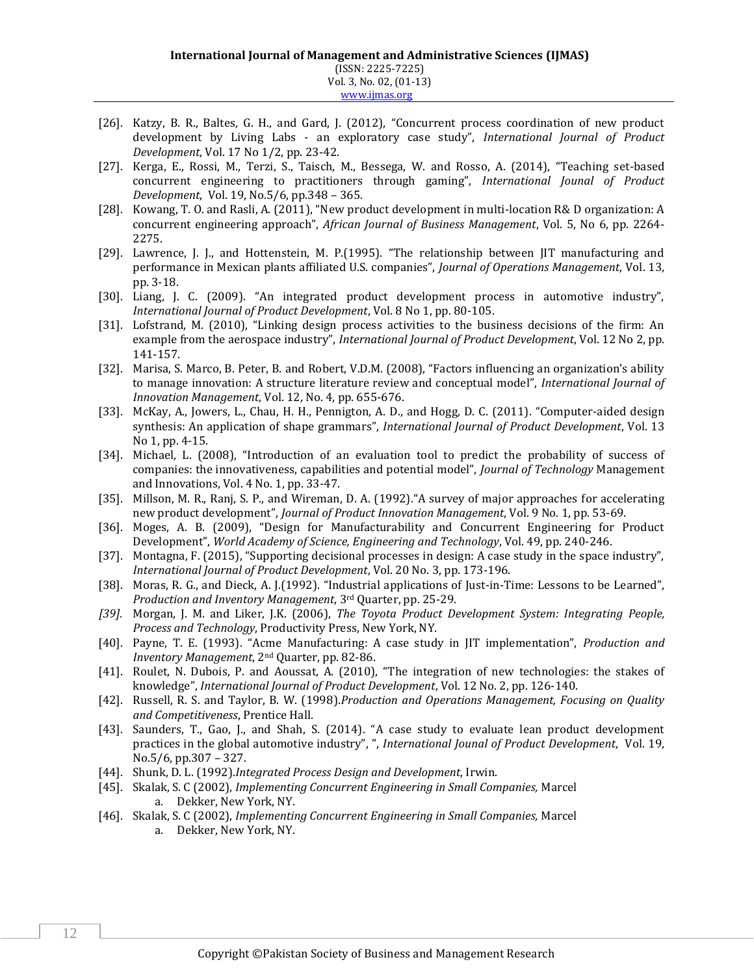- [26]. Katzy, B. R., Baltes, G. H., and Gard, J. (2012), "Concurrent process coordination of new product development by Living Labs - an exploratory case study", *International Journal of Product Development*, Vol. 17 No 1/2, pp. 23-42.
- [27]. Kerga, E., Rossi, M., Terzi, S., Taisch, M., Bessega, W. and Rosso, A. (2014), "Teaching set-based concurrent engineering to practitioners through gaming", *International Jounal of Product Development*, Vol. 19, No.5/6, pp.348 – 365.
- [28]. Kowang, T. O. and Rasli, A. (2011), "New product development in multi-location R& D organization: A concurrent engineering approach", *African Journal of Business Management*, Vol. 5, No 6, pp. 2264- 2275.
- [29]. Lawrence, J. J., and Hottenstein, M. P. (1995). "The relationship between IIT manufacturing and performance in Mexican plants affiliated U.S. companies", *Journal of Operations Management*, Vol. 13, pp. 3-18.
- [30]. Liang, J. C. (2009). "An integrated product development process in automotive industry", *International Journal of Product Development*, Vol. 8 No 1, pp. 80-105.
- [31]. Lofstrand, M. (2010), "Linking design process activities to the business decisions of the firm: An example from the aerospace industry", *International Journal of Product Development*, Vol. 12 No 2, pp. 141-157.
- [32]. Marisa, S. Marco, B. Peter, B. and Robert, V.D.M. (2008), "Factors influencing an organization's ability to manage innovation: A structure literature review and conceptual model", *International Journal of Innovation Management*, Vol. 12, No. 4, pp. 655-676.
- [33]. McKay, A., Jowers, L., Chau, H. H., Pennigton, A. D., and Hogg, D. C. (2011). "Computer-aided design synthesis: An application of shape grammars", *International Journal of Product Development*, Vol. 13 No 1, pp. 4-15.
- [34]. Michael, L. (2008), "Introduction of an evaluation tool to predict the probability of success of companies: the innovativeness, capabilities and potential model", *Journal of Technology* Management and Innovations, Vol. 4 No. 1, pp. 33-47.
- [35]. Millson, M. R., Ranj, S. P., and Wireman, D. A. (1992)."A survey of major approaches for accelerating new product development", *Journal of Product Innovation Management*, Vol. 9 No. 1, pp. 53-69.
- [36]. Moges, A. B. (2009), "Design for Manufacturability and Concurrent Engineering for Product Development", *World Academy of Science, Engineering and Technology*, Vol. 49, pp. 240-246.
- [37]. Montagna, F. (2015), "Supporting decisional processes in design: A case study in the space industry", *International Journal of Product Development*, Vol. 20 No. 3, pp. 173-196.
- [38]. Moras, R. G., and Dieck, A. J.(1992). "Industrial applications of Just-in-Time: Lessons to be Learned", *Production and Inventory Management*, 3rd Quarter, pp. 25-29.
- *[39].* Morgan, J. M. and Liker, J.K. (2006), *The Toyota Product Development System: Integrating People, Process and Technology*, Productivity Press, New York, NY.
- [40]. Payne, T. E. (1993). "Acme Manufacturing: A case study in JIT implementation", *Production and Inventory Management*, 2nd Quarter, pp. 82-86.
- [41]. Roulet, N. Dubois, P. and Aoussat, A. (2010), "The integration of new technologies: the stakes of knowledge", *International Journal of Product Development*, Vol. 12 No. 2, pp. 126-140.
- [42]. Russell, R. S. and Taylor, B. W. (1998).*Production and Operations Management, Focusing on Quality and Competitiveness*, Prentice Hall.
- [43]. Saunders, T., Gao, J., and Shah, S. (2014). "A case study to evaluate lean product development practices in the global automotive industry", ", *International Jounal of Product Development*, Vol. 19, No.5/6, pp.307 – 327.
- [44]. Shunk, D. L. (1992).*Integrated Process Design and Development*, Irwin.
- [45]. Skalak, S. C (2002), *Implementing Concurrent Engineering in Small Companies,* Marcel a. Dekker, New York, NY.
- [46]. Skalak, S. C (2002), *Implementing Concurrent Engineering in Small Companies,* Marcel a. Dekker, New York, NY.